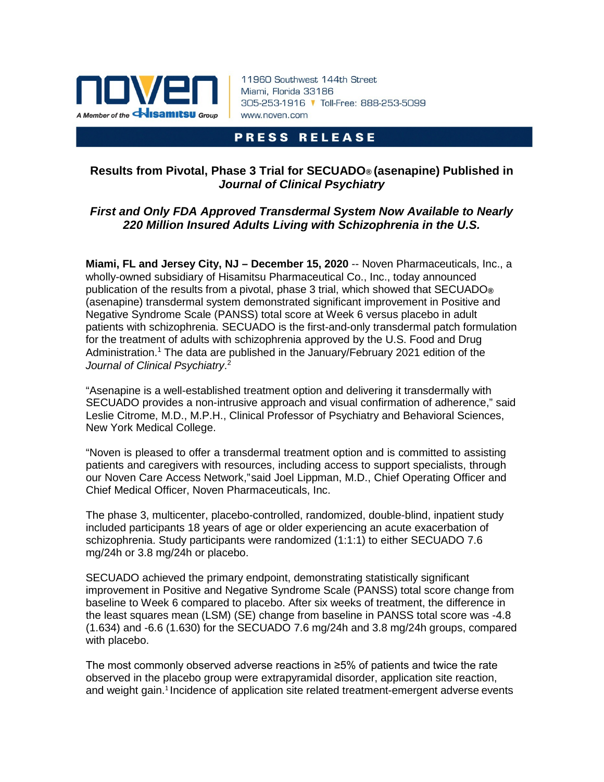

11960 Southwest 144th Street Miami, Florida 33186 305-253-1916 V Toll-Free: 888-253-5099 www.noven.com

# **PRESS RELEASE**

## **Results from Pivotal, Phase 3 Trial for SECUADO® (asenapine) Published in** *Journal of Clinical Psychiatry*

# *First and Only FDA Approved Transdermal System Now Available to Nearly 220 Million Insured Adults Living with Schizophrenia in the U.S.*

**Miami, FL and Jersey City, NJ – December 15, 2020** -- Noven Pharmaceuticals, Inc., a wholly-owned subsidiary of Hisamitsu Pharmaceutical Co., Inc., today announced publication of the results from a pivotal, phase 3 trial, which showed that SECUADO**®**  (asenapine) transdermal system demonstrated significant improvement in Positive and Negative Syndrome Scale (PANSS) total score at Week 6 versus placebo in adult patients with schizophrenia. SECUADO is the first-and-only transdermal patch formulation for the treatment of adults with schizophrenia approved by the U.S. Food and Drug Administration[.](#page-2-0) <sup>1</sup> The data are published in the January/February 2021 edition of the *Journal of Clinical Psychiatry*. [2](#page-2-0)

"Asenapine is a well-established treatment option and delivering it transdermally with SECUADO provides a non-intrusive approach and visual confirmation of adherence," said Leslie Citrome, M.D., M.P.H., Clinical Professor of Psychiatry and Behavioral Sciences, New York Medical College.

"Noven is pleased to offer a transdermal treatment option and is committed to assisting patients and caregivers with resources, including access to support specialists, through our Noven Care Access Network,"said Joel Lippman, M.D., Chief Operating Officer and Chief Medical Officer, Noven Pharmaceuticals, Inc.

The phase 3, multicenter, placebo-controlled, randomized, double-blind, inpatient study included participants 18 years of age or older experiencing an acute exacerbation of schizophrenia. Study participants were randomized (1:1:1) to either SECUADO 7.6 mg/24h or 3.8 mg/24h or placebo.

SECUADO achieved the primary endpoint, demonstrating statistically significant improvement in Positive and Negative Syndrome Scale (PANSS) total score change from baseline to Week 6 compared to placebo. After six weeks of treatment, the difference in the least squares mean (LSM) (SE) change from baseline in PANSS total score was -4.8 (1.634) and -6.6 (1.630) for the SECUADO 7.6 mg/24h and 3.8 mg/24h groups, compared with placebo.

The most commonly observed adverse reactions in ≥5% of patients and twice the rate observed in the placebo group were extrapyramidal disorder, application site reaction, and weight gain.<sup>1</sup> Incidence of application site related treatment-emergent adverse events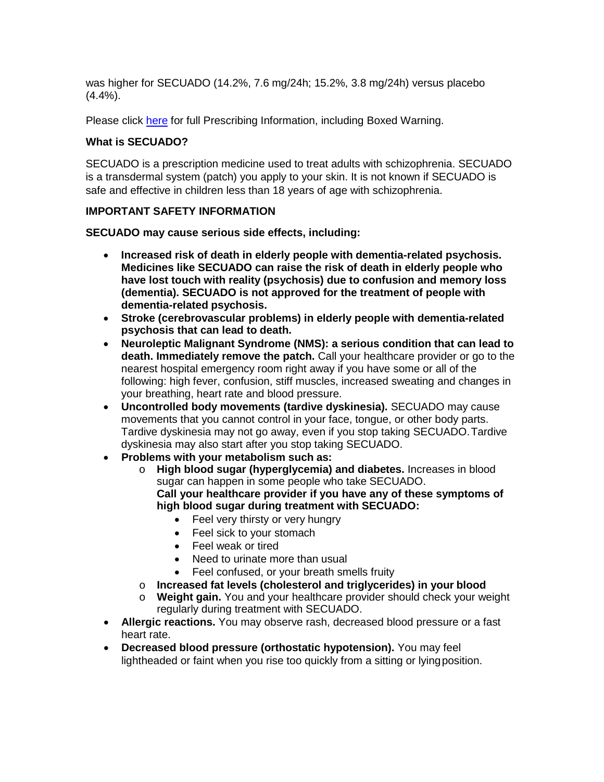was higher for SECUADO (14.2%, 7.6 mg/24h; 15.2%, 3.8 mg/24h) versus placebo (4.4%).

Please click [here](https://dailymed.nlm.nih.gov/dailymed/drugInfo.cfm?setid=685eaf44-5944-4f38-afba-0a4fc0b3462b) for full Prescribing Information, including Boxed Warning.

## **What is SECUADO?**

SECUADO is a prescription medicine used to treat adults with schizophrenia. SECUADO is a transdermal system (patch) you apply to your skin. It is not known if SECUADO is safe and effective in children less than 18 years of age with schizophrenia.

## **IMPORTANT SAFETY INFORMATION**

**SECUADO may cause serious side effects, including:**

- **Increased risk of death in elderly people with dementia-related psychosis. Medicines like SECUADO can raise the risk of death in elderly people who have lost touch with reality (psychosis) due to confusion and memory loss (dementia). SECUADO is not approved for the treatment of people with dementia-related psychosis.**
- **Stroke (cerebrovascular problems) in elderly people with dementia-related psychosis that can lead to death.**
- **Neuroleptic Malignant Syndrome (NMS): a serious condition that can lead to death. Immediately remove the patch.** Call your healthcare provider or go to the nearest hospital emergency room right away if you have some or all of the following: high fever, confusion, stiff muscles, increased sweating and changes in your breathing, heart rate and blood pressure.
- **Uncontrolled body movements (tardive dyskinesia).** SECUADO may cause movements that you cannot control in your face, tongue, or other body parts. Tardive dyskinesia may not go away, even if you stop taking SECUADO.Tardive dyskinesia may also start after you stop taking SECUADO.
- **Problems with your metabolism such as:**
	- o **High blood sugar (hyperglycemia) and diabetes.** Increases in blood sugar can happen in some people who take SECUADO. **Call your healthcare provider if you have any of these symptoms of high blood sugar during treatment with SECUADO:**
		- Feel very thirsty or very hungry
		- Feel sick to your stomach
		- Feel weak or tired
		- Need to urinate more than usual
		- Feel confused, or your breath smells fruity
	- o **Increased fat levels (cholesterol and triglycerides) in your blood**
	- o **Weight gain.** You and your healthcare provider should check your weight regularly during treatment with SECUADO.
- **Allergic reactions.** You may observe rash, decreased blood pressure or a fast heart rate.
- **Decreased blood pressure (orthostatic hypotension).** You may feel lightheaded or faint when you rise too quickly from a sitting or lyingposition.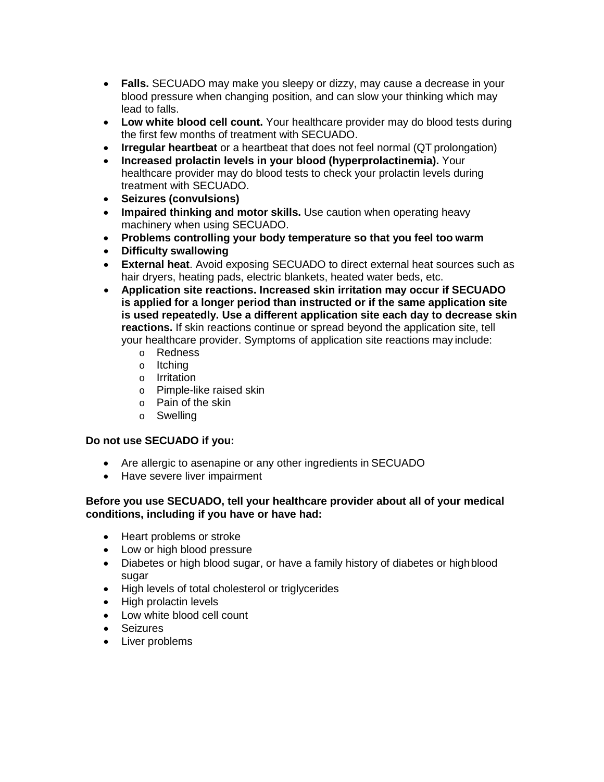- **Falls.** SECUADO may make you sleepy or dizzy, may cause a decrease in your blood pressure when changing position, and can slow your thinking which may lead to falls.
- **Low white blood cell count.** Your healthcare provider may do blood tests during the first few months of treatment with SECUADO.
- **Irregular heartbeat** or a heartbeat that does not feel normal (QT prolongation)
- **Increased prolactin levels in your blood (hyperprolactinemia).** Your healthcare provider may do blood tests to check your prolactin levels during treatment with SECUADO.
- **Seizures (convulsions)**
- **Impaired thinking and motor skills.** Use caution when operating heavy machinery when using SECUADO.
- **Problems controlling your body temperature so that you feel too warm**
- **Difficulty swallowing**
- **External heat**. Avoid exposing SECUADO to direct external heat sources such as hair dryers, heating pads, electric blankets, heated water beds, etc.
- <span id="page-2-0"></span>• **Application site reactions. Increased skin irritation may occur if SECUADO is applied for a longer period than instructed or if the same application site is used repeatedly. Use a different application site each day to decrease skin reactions.** If skin reactions continue or spread beyond the application site, tell your healthcare provider. Symptoms of application site reactions may include:
	- o Redness
	- o Itching
	- o Irritation
	- o Pimple-like raised skin
	- o Pain of the skin
	- o Swelling

### **Do not use SECUADO if you:**

- Are allergic to asenapine or any other ingredients in SECUADO
- Have severe liver impairment

## **Before you use SECUADO, tell your healthcare provider about all of your medical conditions, including if you have or have had:**

- Heart problems or stroke
- Low or high blood pressure
- Diabetes or high blood sugar, or have a family history of diabetes or highblood sugar
- High levels of total cholesterol or triglycerides
- High prolactin levels
- Low white blood cell count
- Seizures
- Liver problems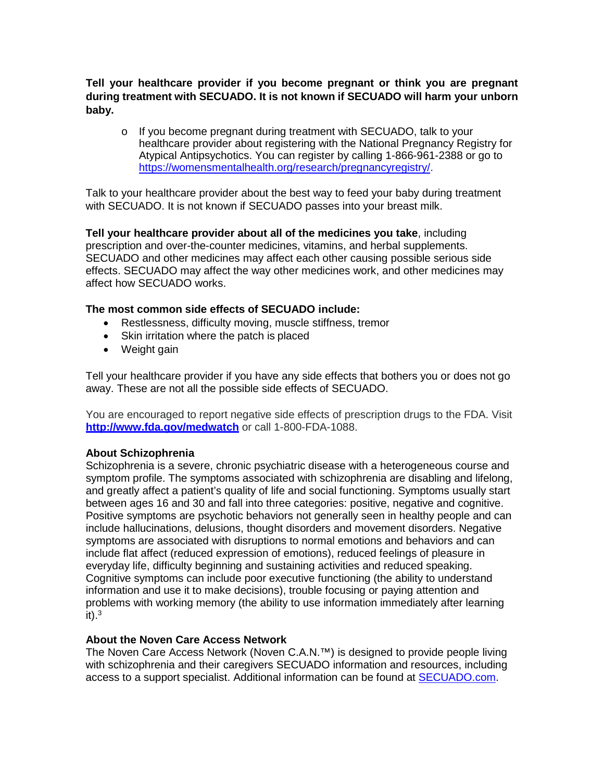**Tell your healthcare provider if you become pregnant or think you are pregnant during treatment with SECUADO. It is not known if SECUADO will harm your unborn baby.**

o If you become pregnant during treatment with SECUADO, talk to your healthcare provider about registering with the National Pregnancy Registry for Atypical Antipsychotics. You can register by calling 1-866-961-2388 or go to [https://womensmentalhealth.org/research/pregnancyregistry/.](https://womensmentalhealth.org/research/pregnancyregistry/)

Talk to your healthcare provider about the best way to feed your baby during treatment with SECUADO. It is not known if SECUADO passes into your breast milk.

**Tell your healthcare provider about all of the medicines you take**, including prescription and over-the-counter medicines, vitamins, and herbal supplements. SECUADO and other medicines may affect each other causing possible serious side effects. SECUADO may affect the way other medicines work, and other medicines may affect how SECUADO works.

### **The most common side effects of SECUADO include:**

- Restlessness, difficulty moving, muscle stiffness, tremor
- Skin irritation where the patch is placed
- Weight gain

Tell your healthcare provider if you have any side effects that bothers you or does not go away. These are not all the possible side effects of SECUADO.

You are encouraged to report negative side effects of prescription drugs to the FDA. Visit **<http://www.fda.gov/medwatch>** or call 1-800-FDA-1088.

### **About Schizophrenia**

Schizophrenia is a severe, chronic psychiatric disease with a heterogeneous course and symptom profile. The symptoms associated with schizophrenia are disabling and lifelong, and greatly affect a patient's quality of life and social functioning. Symptoms usually start between ages 16 and 30 and fall into three categories: positive, negative and cognitive. Positive symptoms are psychotic behaviors not generally seen in healthy people and can include hallucinations, delusions, thought disorders and movement disorders. Negative symptoms are associated with disruptions to normal emotions and behaviors and can include flat affect (reduced expression of emotions), reduced feelings of pleasure in everyday life, difficulty beginning and sustaining activities and reduced speaking. Cognitive symptoms can include poor executive functioning (the ability to understand information and use it to make decisions), trouble focusing or paying attention and problems with working memory (the ability to use information immediately after learning  $it)$ .<sup>3</sup>

### **About the Noven Care Access Network**

The Noven Care Access Network (Noven C.A.N.™) is designed to provide people living with schizophrenia and their caregivers SECUADO information and resources, including access to a support specialist. Additional information can be found at [SECUADO.com.](https://www.secuado.com/)